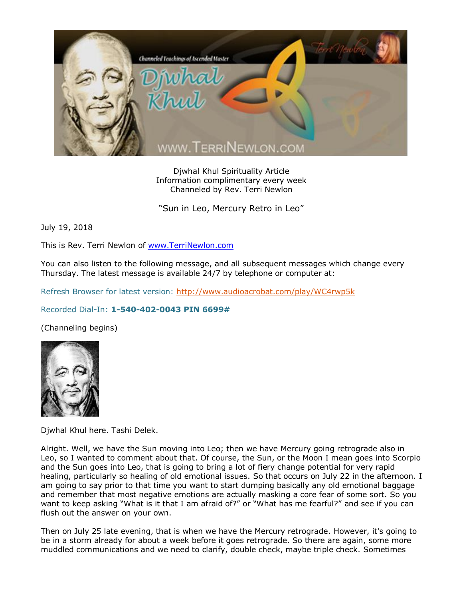

Djwhal Khul Spirituality Article Information complimentary every week Channeled by Rev. Terri Newlon

"Sun in Leo, Mercury Retro in Leo"

July 19, 2018

This is Rev. Terri Newlon of [www.TerriNewlon.com](http://www.terrinewlon.com/)

You can also listen to the following message, and all subsequent messages which change every Thursday. The latest message is available 24/7 by telephone or computer at:

Refresh Browser for latest version:<http://www.audioacrobat.com/play/WC4rwp5k>

## Recorded Dial-In: **1-540-402-0043 PIN 6699#**

(Channeling begins)



Djwhal Khul here. Tashi Delek.

Alright. Well, we have the Sun moving into Leo; then we have Mercury going retrograde also in Leo, so I wanted to comment about that. Of course, the Sun, or the Moon I mean goes into Scorpio and the Sun goes into Leo, that is going to bring a lot of fiery change potential for very rapid healing, particularly so healing of old emotional issues. So that occurs on July 22 in the afternoon. I am going to say prior to that time you want to start dumping basically any old emotional baggage and remember that most negative emotions are actually masking a core fear of some sort. So you want to keep asking "What is it that I am afraid of?" or "What has me fearful?" and see if you can flush out the answer on your own.

Then on July 25 late evening, that is when we have the Mercury retrograde. However, it's going to be in a storm already for about a week before it goes retrograde. So there are again, some more muddled communications and we need to clarify, double check, maybe triple check. Sometimes